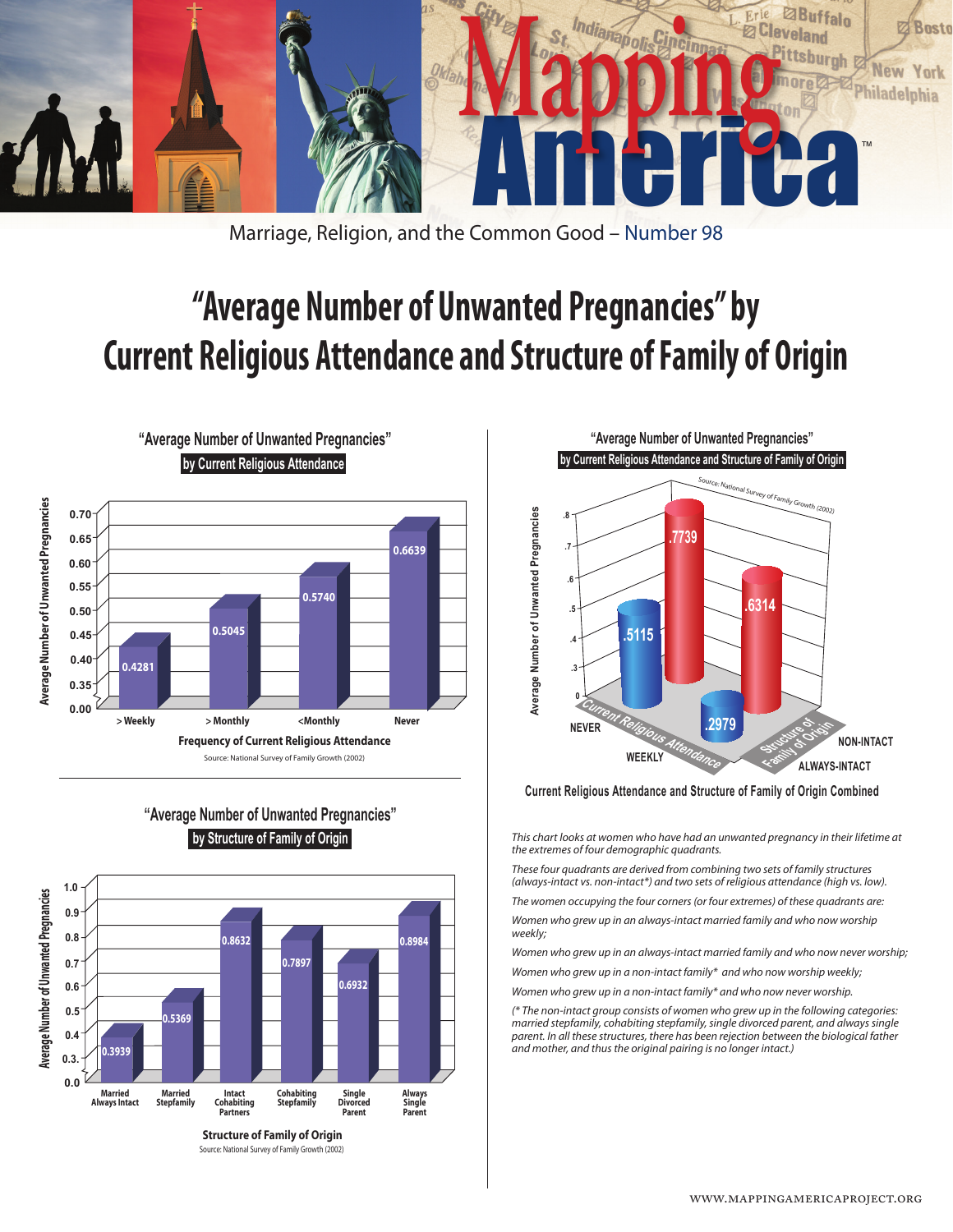

Marriage, Religion, and the Common Good – Number 98

## **"Average Number of Unwanted Pregnancies" by Current Religious Attendance and Structure of Family of Origin**



**"Average Number of Unwanted Pregnancies" by Structure of Family of Origin**

**"Average Number of Unwanted Pregnancies"**



Source: National Survey of Family Growth (2002)



**Current Religious Attendance and Structure of Family of Origin Combined**

*This chart looks at women who have had an unwanted pregnancy in their lifetime at the extremes of four demographic quadrants.*

*These four quadrants are derived from combining two sets of family structures (always-intact vs. non-intact\*) and two sets of religious attendance (high vs. low).*

*The women occupying the four corners (or four extremes) of these quadrants are:*

*Women who grew up in an always-intact married family and who now worship weekly;*

*Women who grew up in an always-intact married family and who now never worship;*

*Women who grew up in a non-intact family\* and who now worship weekly;*

*Women who grew up in a non-intact family\* and who now never worship.*

*(\* The non-intact group consists of women who grew up in the following categories:*  married stepfamily, cohabiting stepfamily, single divorced parent, and always single<br>parent. In all these structures, there has been rejection between the biological father *and mother, and thus the original pairing is no longer intact.)*